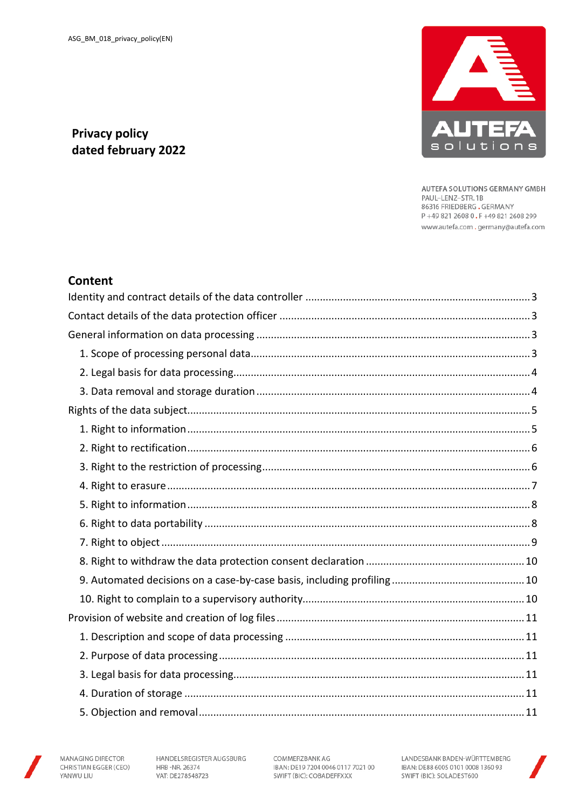

AUTEFA SOLUTIONS GERMANY GMBH PAUL-LENZ-STR.1B 86316 FRIEDBERG.GERMANY P+49 821 2608 0.F+49 821 2608 299 www.autefa.com .germany@autefa.com

# **Privacy policy** dated february 2022

# **Content**



HANDELSREGISTER AUGSBURG HRB-NR. 26374 VAT: DE278548723

COMMERZBANK AG IBAN: DE19 7204 0046 0117 7021 00 SWIFT (BIC): COBADEFFXXX

LANDESBANK BADEN-WÜRTTEMBERG IBAN: DE88 6005 0101 0008 1360 93 SWIFT (BIC): SOLADEST600

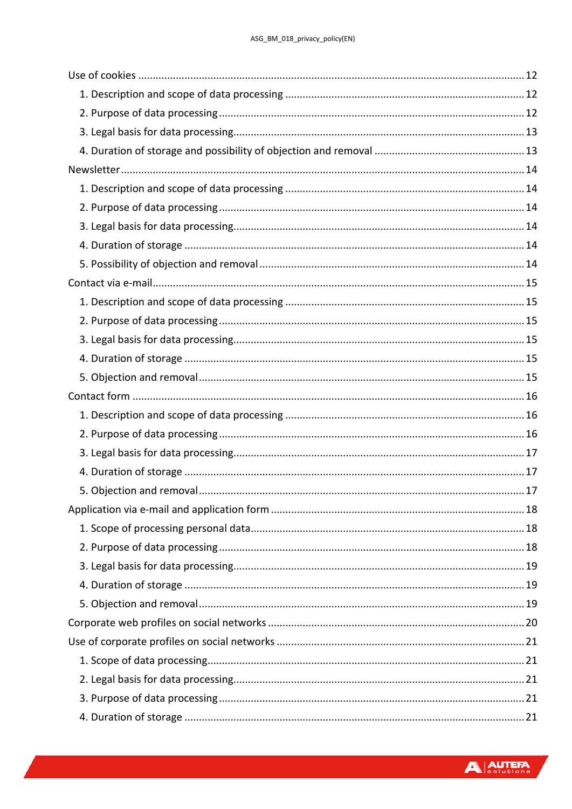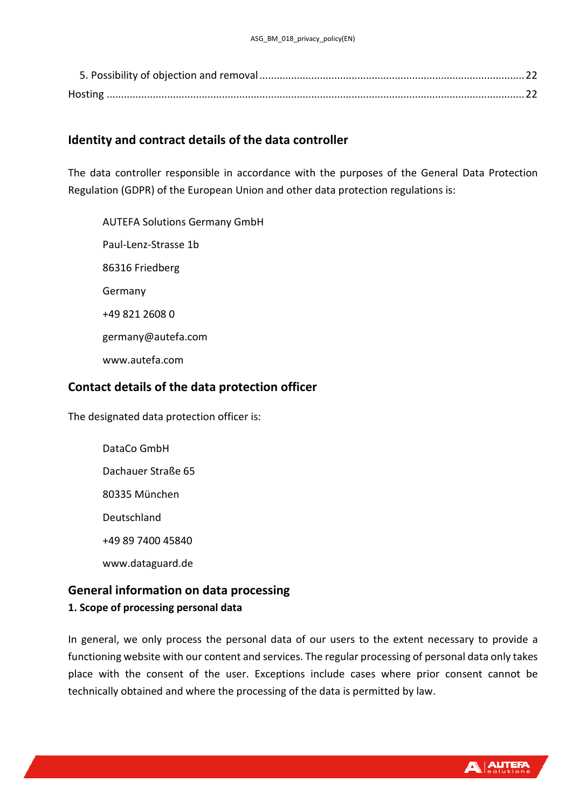# <span id="page-2-0"></span>**Identity and contract details of the data controller**

The data controller responsible in accordance with the purposes of the General Data Protection Regulation (GDPR) of the European Union and other data protection regulations is:

AUTEFA Solutions Germany GmbH Paul-Lenz-Strasse 1b 86316 Friedberg Germany +49 821 2608 0 germany@autefa.com www.autefa.com

## <span id="page-2-1"></span>**Contact details of the data protection officer**

The designated data protection officer is:

DataCo GmbH Dachauer Straße 65 80335 München Deutschland +49 89 7400 45840 www.dataguard.de

# <span id="page-2-3"></span><span id="page-2-2"></span>**General information on data processing 1. Scope of processing personal data**

In general, we only process the personal data of our users to the extent necessary to provide a functioning website with our content and services. The regular processing of personal data only takes place with the consent of the user. Exceptions include cases where prior consent cannot be technically obtained and where the processing of the data is permitted by law.

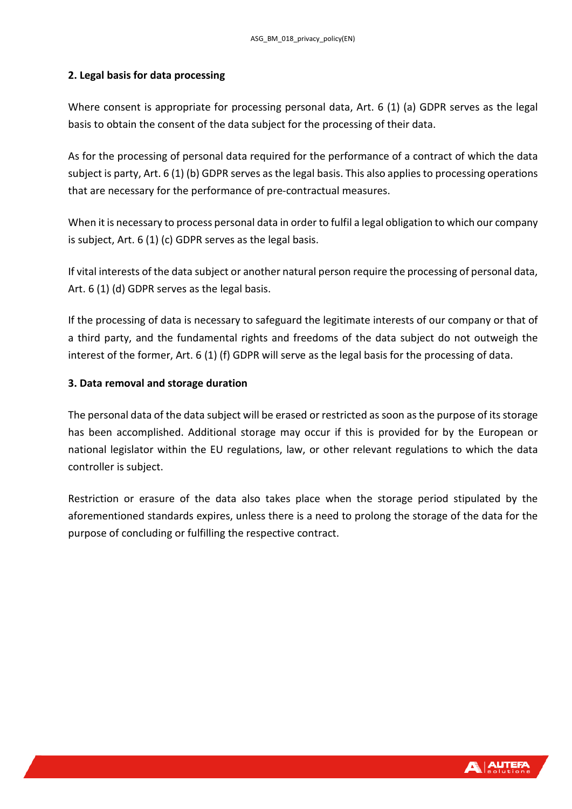#### <span id="page-3-0"></span>**2. Legal basis for data processing**

Where consent is appropriate for processing personal data, Art. 6 (1) (a) GDPR serves as the legal basis to obtain the consent of the data subject for the processing of their data.

As for the processing of personal data required for the performance of a contract of which the data subject is party, Art. 6 (1) (b) GDPR serves as the legal basis. This also applies to processing operations that are necessary for the performance of pre-contractual measures.

When it is necessary to process personal data in order to fulfil a legal obligation to which our company is subject, Art. 6 (1) (c) GDPR serves as the legal basis.

If vital interests of the data subject or another natural person require the processing of personal data, Art. 6 (1) (d) GDPR serves as the legal basis.

If the processing of data is necessary to safeguard the legitimate interests of our company or that of a third party, and the fundamental rights and freedoms of the data subject do not outweigh the interest of the former, Art. 6 (1) (f) GDPR will serve as the legal basis for the processing of data.

#### <span id="page-3-1"></span>**3. Data removal and storage duration**

The personal data of the data subject will be erased or restricted as soon as the purpose of its storage has been accomplished. Additional storage may occur if this is provided for by the European or national legislator within the EU regulations, law, or other relevant regulations to which the data controller is subject.

Restriction or erasure of the data also takes place when the storage period stipulated by the aforementioned standards expires, unless there is a need to prolong the storage of the data for the purpose of concluding or fulfilling the respective contract.

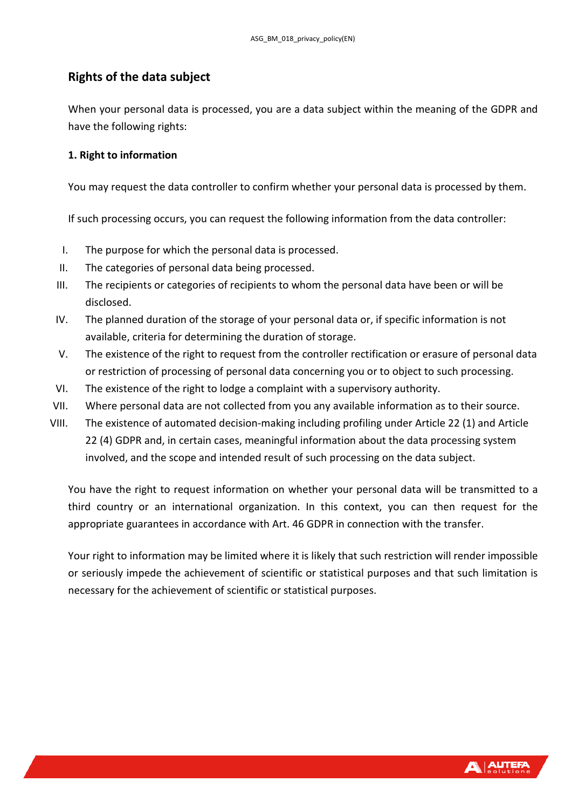# <span id="page-4-0"></span>**Rights of the data subject**

When your personal data is processed, you are a data subject within the meaning of the GDPR and have the following rights:

#### <span id="page-4-1"></span>**1. Right to information**

You may request the data controller to confirm whether your personal data is processed by them.

If such processing occurs, you can request the following information from the data controller:

- I. The purpose for which the personal data is processed.
- II. The categories of personal data being processed.
- III. The recipients or categories of recipients to whom the personal data have been or will be disclosed.
- IV. The planned duration of the storage of your personal data or, if specific information is not available, criteria for determining the duration of storage.
- V. The existence of the right to request from the controller rectification or erasure of personal data or restriction of processing of personal data concerning you or to object to such processing.
- VI. The existence of the right to lodge a complaint with a supervisory authority.
- VII. Where personal data are not collected from you any available information as to their source.
- VIII. The existence of automated decision-making including profiling under Article 22 (1) and Article 22 (4) GDPR and, in certain cases, meaningful information about the data processing system involved, and the scope and intended result of such processing on the data subject.

You have the right to request information on whether your personal data will be transmitted to a third country or an international organization. In this context, you can then request for the appropriate guarantees in accordance with Art. 46 GDPR in connection with the transfer.

Your right to information may be limited where it is likely that such restriction will render impossible or seriously impede the achievement of scientific or statistical purposes and that such limitation is necessary for the achievement of scientific or statistical purposes.

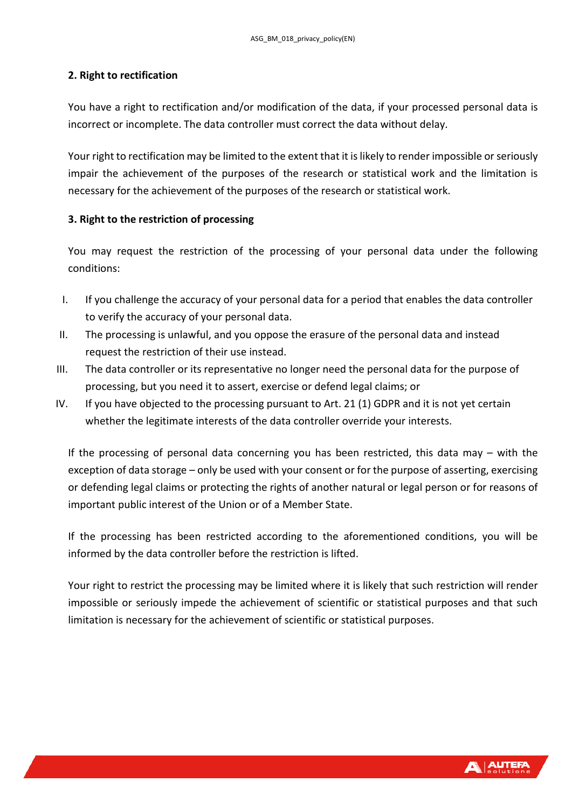#### <span id="page-5-0"></span>**2. Right to rectification**

You have a right to rectification and/or modification of the data, if your processed personal data is incorrect or incomplete. The data controller must correct the data without delay.

Your right to rectification may be limited to the extent that it is likely to render impossible or seriously impair the achievement of the purposes of the research or statistical work and the limitation is necessary for the achievement of the purposes of the research or statistical work.

#### <span id="page-5-1"></span>**3. Right to the restriction of processing**

You may request the restriction of the processing of your personal data under the following conditions:

- I. If you challenge the accuracy of your personal data for a period that enables the data controller to verify the accuracy of your personal data.
- II. The processing is unlawful, and you oppose the erasure of the personal data and instead request the restriction of their use instead.
- III. The data controller or its representative no longer need the personal data for the purpose of processing, but you need it to assert, exercise or defend legal claims; or
- IV. If you have objected to the processing pursuant to Art. 21 (1) GDPR and it is not yet certain whether the legitimate interests of the data controller override your interests.

If the processing of personal data concerning you has been restricted, this data may – with the exception of data storage – only be used with your consent or for the purpose of asserting, exercising or defending legal claims or protecting the rights of another natural or legal person or for reasons of important public interest of the Union or of a Member State.

If the processing has been restricted according to the aforementioned conditions, you will be informed by the data controller before the restriction is lifted.

Your right to restrict the processing may be limited where it is likely that such restriction will render impossible or seriously impede the achievement of scientific or statistical purposes and that such limitation is necessary for the achievement of scientific or statistical purposes.

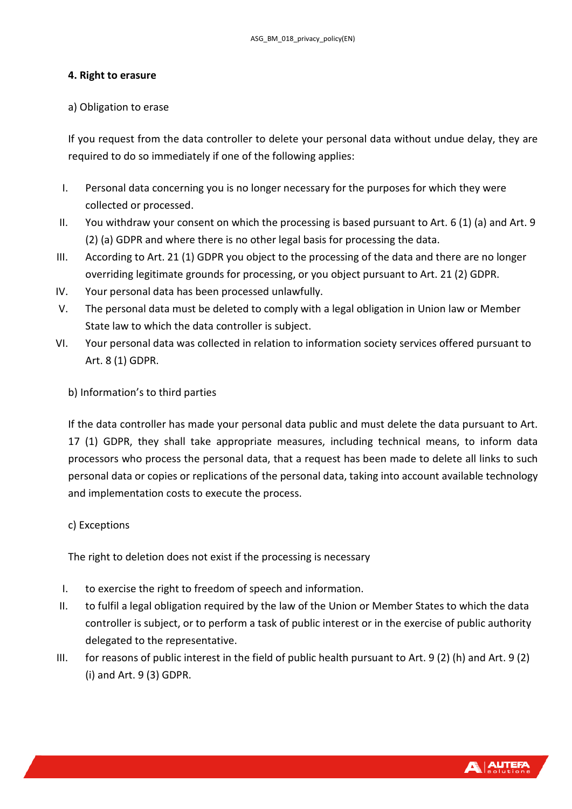#### <span id="page-6-0"></span>**4. Right to erasure**

#### a) Obligation to erase

If you request from the data controller to delete your personal data without undue delay, they are required to do so immediately if one of the following applies:

- I. Personal data concerning you is no longer necessary for the purposes for which they were collected or processed.
- II. You withdraw your consent on which the processing is based pursuant to Art. 6 (1) (a) and Art. 9 (2) (a) GDPR and where there is no other legal basis for processing the data.
- III. According to Art. 21 (1) GDPR you object to the processing of the data and there are no longer overriding legitimate grounds for processing, or you object pursuant to Art. 21 (2) GDPR.
- IV. Your personal data has been processed unlawfully.
- V. The personal data must be deleted to comply with a legal obligation in Union law or Member State law to which the data controller is subject.
- VI. Your personal data was collected in relation to information society services offered pursuant to Art. 8 (1) GDPR.

## b) Information's to third parties

If the data controller has made your personal data public and must delete the data pursuant to Art. 17 (1) GDPR, they shall take appropriate measures, including technical means, to inform data processors who process the personal data, that a request has been made to delete all links to such personal data or copies or replications of the personal data, taking into account available technology and implementation costs to execute the process.

## c) Exceptions

The right to deletion does not exist if the processing is necessary

- I. to exercise the right to freedom of speech and information.
- II. to fulfil a legal obligation required by the law of the Union or Member States to which the data controller is subject, or to perform a task of public interest or in the exercise of public authority delegated to the representative.
- III. for reasons of public interest in the field of public health pursuant to Art. 9 (2) (h) and Art. 9 (2) (i) and Art. 9 (3) GDPR.

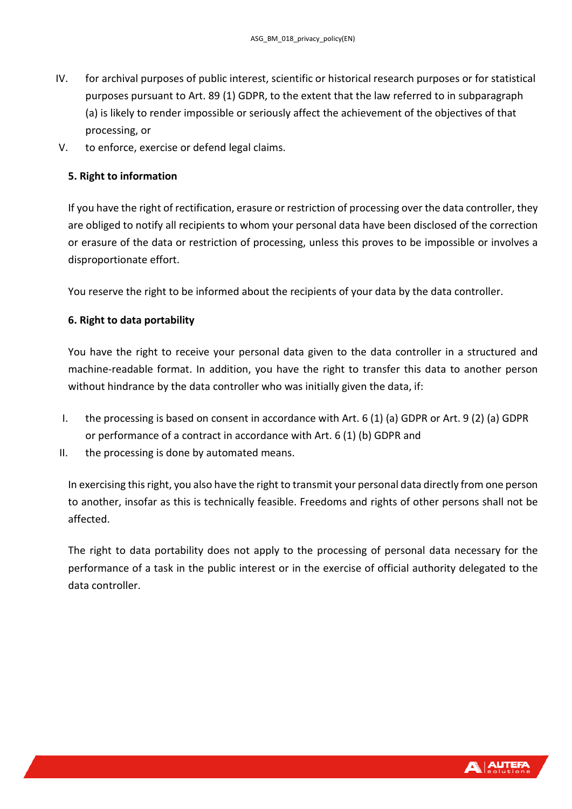- IV. for archival purposes of public interest, scientific or historical research purposes or for statistical purposes pursuant to Art. 89 (1) GDPR, to the extent that the law referred to in subparagraph (a) is likely to render impossible or seriously affect the achievement of the objectives of that processing, or
- V. to enforce, exercise or defend legal claims.

#### <span id="page-7-0"></span>**5. Right to information**

If you have the right of rectification, erasure or restriction of processing over the data controller, they are obliged to notify all recipients to whom your personal data have been disclosed of the correction or erasure of the data or restriction of processing, unless this proves to be impossible or involves a disproportionate effort.

You reserve the right to be informed about the recipients of your data by the data controller.

#### <span id="page-7-1"></span>**6. Right to data portability**

You have the right to receive your personal data given to the data controller in a structured and machine-readable format. In addition, you have the right to transfer this data to another person without hindrance by the data controller who was initially given the data, if:

- I. the processing is based on consent in accordance with Art. 6 (1) (a) GDPR or Art. 9 (2) (a) GDPR or performance of a contract in accordance with Art. 6 (1) (b) GDPR and
- II. the processing is done by automated means.

In exercising this right, you also have the right to transmit your personal data directly from one person to another, insofar as this is technically feasible. Freedoms and rights of other persons shall not be affected.

The right to data portability does not apply to the processing of personal data necessary for the performance of a task in the public interest or in the exercise of official authority delegated to the data controller.

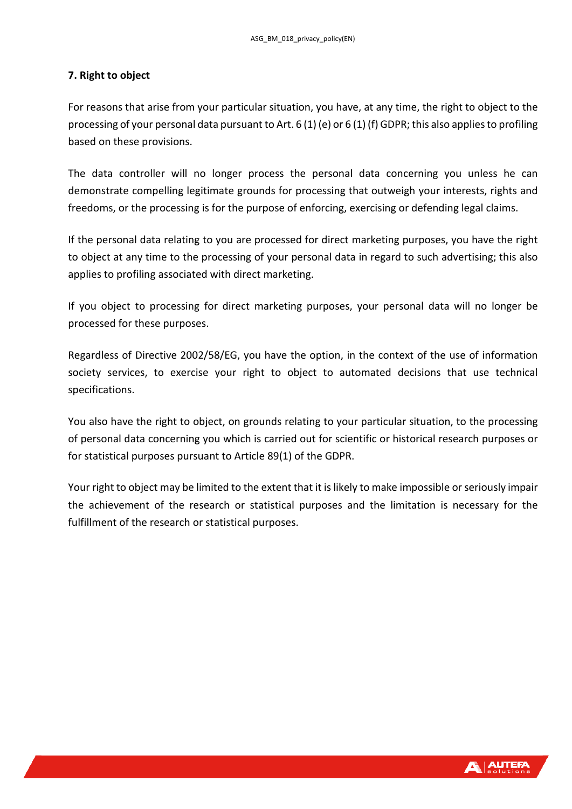#### <span id="page-8-0"></span>**7. Right to object**

For reasons that arise from your particular situation, you have, at any time, the right to object to the processing of your personal data pursuant to Art. 6 (1) (e) or 6 (1) (f) GDPR; this also applies to profiling based on these provisions.

The data controller will no longer process the personal data concerning you unless he can demonstrate compelling legitimate grounds for processing that outweigh your interests, rights and freedoms, or the processing is for the purpose of enforcing, exercising or defending legal claims.

If the personal data relating to you are processed for direct marketing purposes, you have the right to object at any time to the processing of your personal data in regard to such advertising; this also applies to profiling associated with direct marketing.

If you object to processing for direct marketing purposes, your personal data will no longer be processed for these purposes.

Regardless of Directive 2002/58/EG, you have the option, in the context of the use of information society services, to exercise your right to object to automated decisions that use technical specifications.

You also have the right to object, on grounds relating to your particular situation, to the processing of personal data concerning you which is carried out for scientific or historical research purposes or for statistical purposes pursuant to Article 89(1) of the GDPR.

Your right to object may be limited to the extent that it is likely to make impossible or seriously impair the achievement of the research or statistical purposes and the limitation is necessary for the fulfillment of the research or statistical purposes.

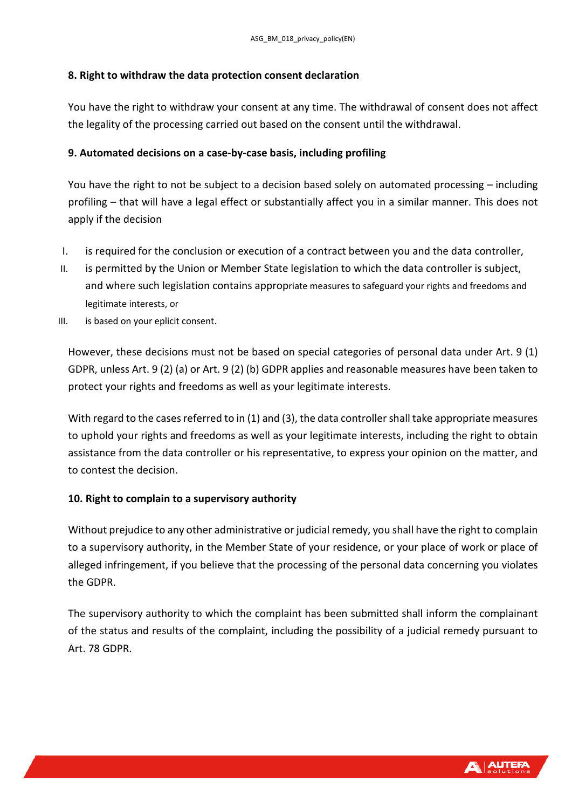#### <span id="page-9-0"></span>**8. Right to withdraw the data protection consent declaration**

You have the right to withdraw your consent at any time. The withdrawal of consent does not affect the legality of the processing carried out based on the consent until the withdrawal.

#### <span id="page-9-1"></span>**9. Automated decisions on a case-by-case basis, including profiling**

You have the right to not be subject to a decision based solely on automated processing – including profiling – that will have a legal effect or substantially affect you in a similar manner. This does not apply if the decision

- I. is required for the conclusion or execution of a contract between you and the data controller,
- II. is permitted by the Union or Member State legislation to which the data controller is subject, and where such legislation contains appropriate measures to safeguard your rights and freedoms and legitimate interests, or
- III. is based on your eplicit consent.

However, these decisions must not be based on special categories of personal data under Art. 9 (1) GDPR, unless Art. 9 (2) (a) or Art. 9 (2) (b) GDPR applies and reasonable measures have been taken to protect your rights and freedoms as well as your legitimate interests.

With regard to the cases referred to in (1) and (3), the data controller shall take appropriate measures to uphold your rights and freedoms as well as your legitimate interests, including the right to obtain assistance from the data controller or his representative, to express your opinion on the matter, and to contest the decision.

## <span id="page-9-2"></span>**10. Right to complain to a supervisory authority**

Without prejudice to any other administrative or judicial remedy, you shall have the right to complain to a supervisory authority, in the Member State of your residence, or your place of work or place of alleged infringement, if you believe that the processing of the personal data concerning you violates the GDPR.

The supervisory authority to which the complaint has been submitted shall inform the complainant of the status and results of the complaint, including the possibility of a judicial remedy pursuant to Art. 78 GDPR.

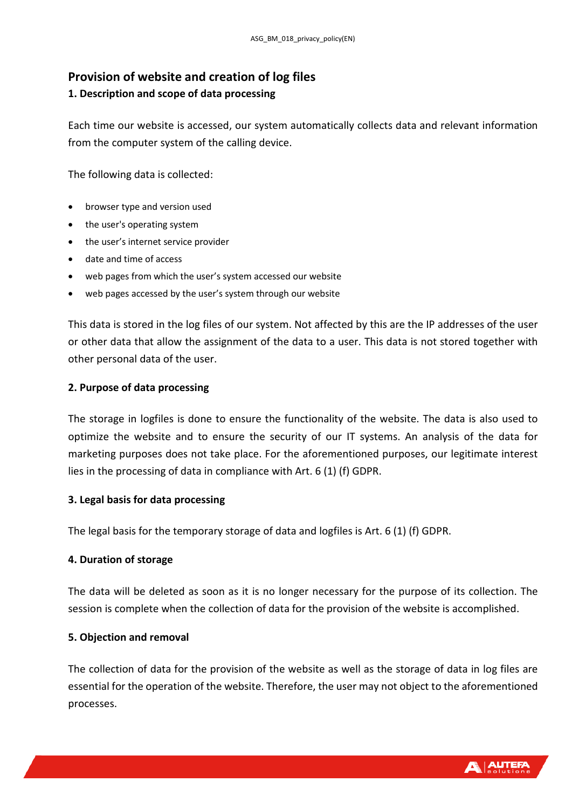# <span id="page-10-0"></span>**Provision of website and creation of log files**

# <span id="page-10-1"></span>**1. Description and scope of data processing**

Each time our website is accessed, our system automatically collects data and relevant information from the computer system of the calling device.

The following data is collected:

- browser type and version used
- the user's operating system
- the user's internet service provider
- date and time of access
- web pages from which the user's system accessed our website
- web pages accessed by the user's system through our website

This data is stored in the log files of our system. Not affected by this are the IP addresses of the user or other data that allow the assignment of the data to a user. This data is not stored together with other personal data of the user.

# <span id="page-10-2"></span>**2. Purpose of data processing**

The storage in logfiles is done to ensure the functionality of the website. The data is also used to optimize the website and to ensure the security of our IT systems. An analysis of the data for marketing purposes does not take place. For the aforementioned purposes, our legitimate interest lies in the processing of data in compliance with Art. 6 (1) (f) GDPR.

# <span id="page-10-3"></span>**3. Legal basis for data processing**

The legal basis for the temporary storage of data and logfiles is Art. 6 (1) (f) GDPR.

# <span id="page-10-4"></span>**4. Duration of storage**

The data will be deleted as soon as it is no longer necessary for the purpose of its collection. The session is complete when the collection of data for the provision of the website is accomplished.

# <span id="page-10-5"></span>**5. Objection and removal**

The collection of data for the provision of the website as well as the storage of data in log files are essential for the operation of the website. Therefore, the user may not object to the aforementioned processes.

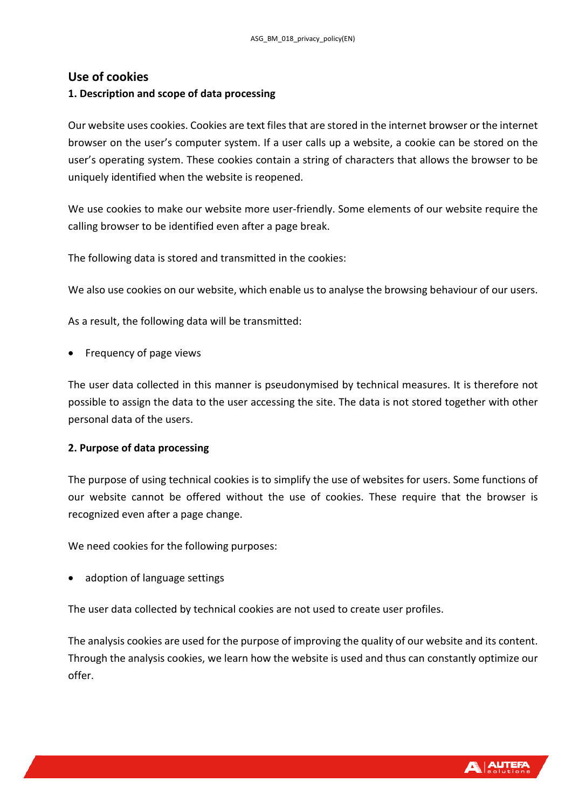## <span id="page-11-0"></span>**Use of cookies**

#### <span id="page-11-1"></span>**1. Description and scope of data processing**

Our website uses cookies. Cookies are text files that are stored in the internet browser or the internet browser on the user's computer system. If a user calls up a website, a cookie can be stored on the user's operating system. These cookies contain a string of characters that allows the browser to be uniquely identified when the website is reopened.

We use cookies to make our website more user-friendly. Some elements of our website require the calling browser to be identified even after a page break.

The following data is stored and transmitted in the cookies:

We also use cookies on our website, which enable us to analyse the browsing behaviour of our users.

As a result, the following data will be transmitted:

• Frequency of page views

The user data collected in this manner is pseudonymised by technical measures. It is therefore not possible to assign the data to the user accessing the site. The data is not stored together with other personal data of the users.

#### <span id="page-11-2"></span>**2. Purpose of data processing**

The purpose of using technical cookies is to simplify the use of websites for users. Some functions of our website cannot be offered without the use of cookies. These require that the browser is recognized even after a page change.

We need cookies for the following purposes:

• adoption of language settings

The user data collected by technical cookies are not used to create user profiles.

The analysis cookies are used for the purpose of improving the quality of our website and its content. Through the analysis cookies, we learn how the website is used and thus can constantly optimize our offer.

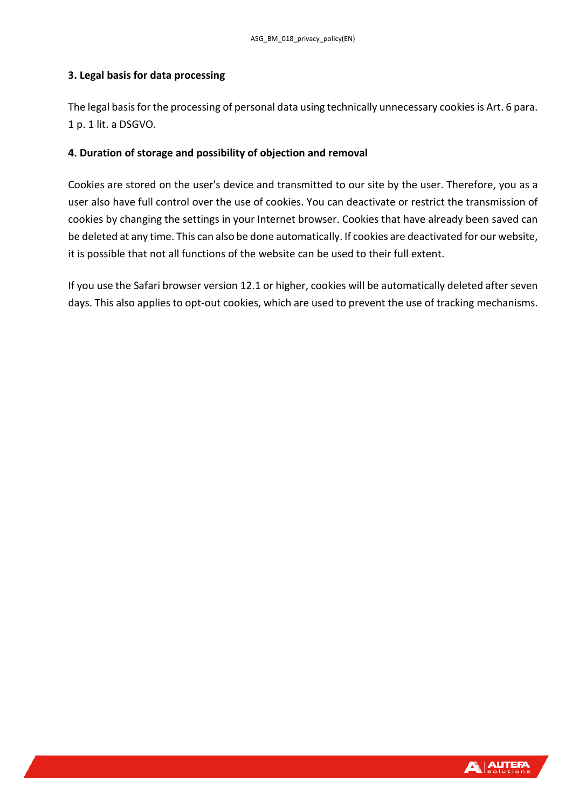#### <span id="page-12-0"></span>**3. Legal basis for data processing**

The legal basis for the processing of personal data using technically unnecessary cookies is Art. 6 para. 1 p. 1 lit. a DSGVO.

#### <span id="page-12-1"></span>**4. Duration of storage and possibility of objection and removal**

Cookies are stored on the user's device and transmitted to our site by the user. Therefore, you as a user also have full control over the use of cookies. You can deactivate or restrict the transmission of cookies by changing the settings in your Internet browser. Cookies that have already been saved can be deleted at any time. This can also be done automatically. If cookies are deactivated for our website, it is possible that not all functions of the website can be used to their full extent.

If you use the Safari browser version 12.1 or higher, cookies will be automatically deleted after seven days. This also applies to opt-out cookies, which are used to prevent the use of tracking mechanisms.

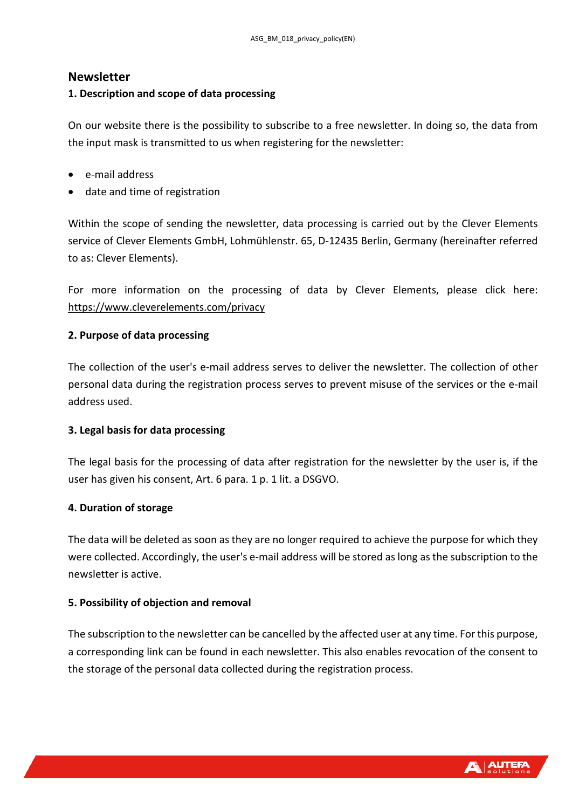## <span id="page-13-0"></span>**Newsletter**

#### <span id="page-13-1"></span>**1. Description and scope of data processing**

On our website there is the possibility to subscribe to a free newsletter. In doing so, the data from the input mask is transmitted to us when registering for the newsletter:

- e-mail address
- date and time of registration

Within the scope of sending the newsletter, data processing is carried out by the Clever Elements service of Clever Elements GmbH, Lohmühlenstr. 65, D-12435 Berlin, Germany (hereinafter referred to as: Clever Elements).

For more information on the processing of data by Clever Elements, please click here: <https://www.cleverelements.com/privacy>

#### <span id="page-13-2"></span>**2. Purpose of data processing**

The collection of the user's e-mail address serves to deliver the newsletter. The collection of other personal data during the registration process serves to prevent misuse of the services or the e-mail address used.

#### <span id="page-13-3"></span>**3. Legal basis for data processing**

The legal basis for the processing of data after registration for the newsletter by the user is, if the user has given his consent, Art. 6 para. 1 p. 1 lit. a DSGVO.

#### <span id="page-13-4"></span>**4. Duration of storage**

The data will be deleted as soon as they are no longer required to achieve the purpose for which they were collected. Accordingly, the user's e-mail address will be stored as long as the subscription to the newsletter is active.

#### <span id="page-13-5"></span>**5. Possibility of objection and removal**

The subscription to the newsletter can be cancelled by the affected user at any time. For this purpose, a corresponding link can be found in each newsletter. This also enables revocation of the consent to the storage of the personal data collected during the registration process.

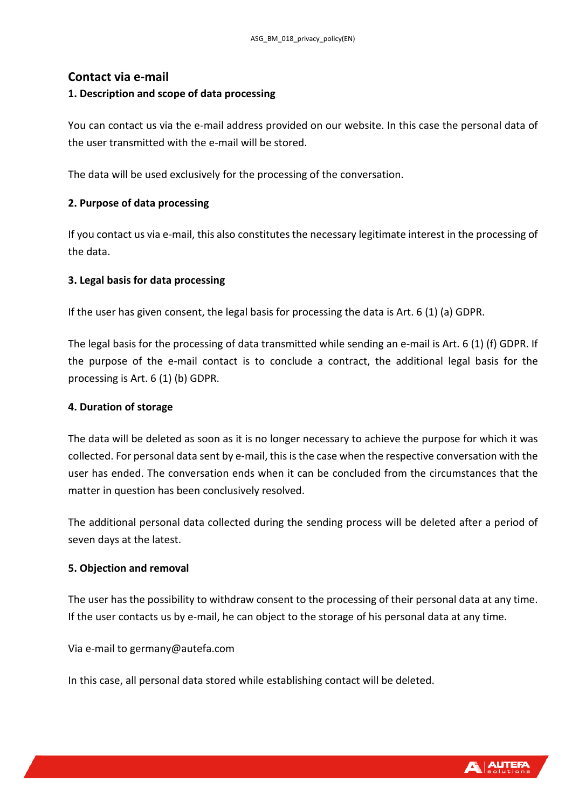## <span id="page-14-0"></span>**Contact via e-mail**

#### <span id="page-14-1"></span>**1. Description and scope of data processing**

You can contact us via the e-mail address provided on our website. In this case the personal data of the user transmitted with the e-mail will be stored.

The data will be used exclusively for the processing of the conversation.

#### <span id="page-14-2"></span>**2. Purpose of data processing**

If you contact us via e-mail, this also constitutes the necessary legitimate interest in the processing of the data.

#### <span id="page-14-3"></span>**3. Legal basis for data processing**

If the user has given consent, the legal basis for processing the data is Art. 6 (1) (a) GDPR.

The legal basis for the processing of data transmitted while sending an e-mail is Art. 6 (1) (f) GDPR. If the purpose of the e-mail contact is to conclude a contract, the additional legal basis for the processing is Art. 6 (1) (b) GDPR.

#### <span id="page-14-4"></span>**4. Duration of storage**

The data will be deleted as soon as it is no longer necessary to achieve the purpose for which it was collected. For personal data sent by e-mail, this is the case when the respective conversation with the user has ended. The conversation ends when it can be concluded from the circumstances that the matter in question has been conclusively resolved.

The additional personal data collected during the sending process will be deleted after a period of seven days at the latest.

#### <span id="page-14-5"></span>**5. Objection and removal**

The user has the possibility to withdraw consent to the processing of their personal data at any time. If the user contacts us by e-mail, he can object to the storage of his personal data at any time.

Via e-mail to germany@autefa.com

In this case, all personal data stored while establishing contact will be deleted.

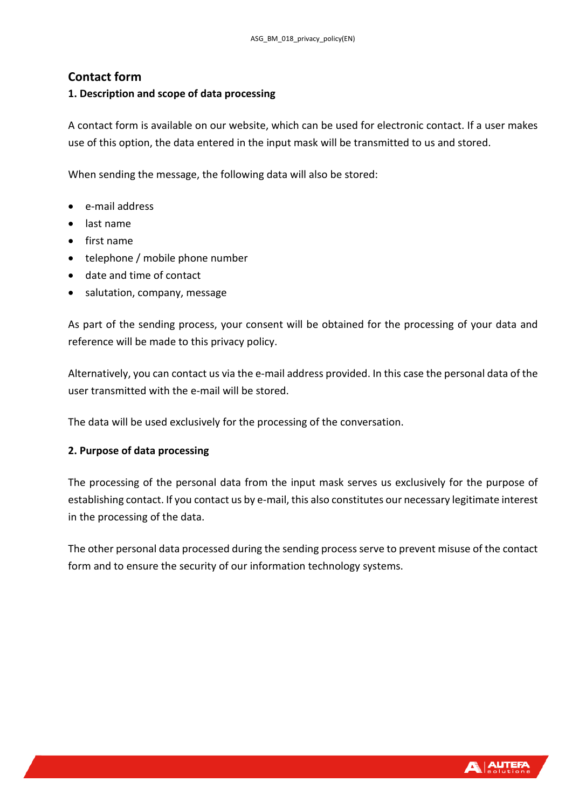# <span id="page-15-0"></span>**Contact form**

#### <span id="page-15-1"></span>**1. Description and scope of data processing**

A contact form is available on our website, which can be used for electronic contact. If a user makes use of this option, the data entered in the input mask will be transmitted to us and stored.

When sending the message, the following data will also be stored:

- e-mail address
- last name
- first name
- telephone / mobile phone number
- date and time of contact
- salutation, company, message

As part of the sending process, your consent will be obtained for the processing of your data and reference will be made to this privacy policy.

Alternatively, you can contact us via the e-mail address provided. In this case the personal data of the user transmitted with the e-mail will be stored.

The data will be used exclusively for the processing of the conversation.

#### <span id="page-15-2"></span>**2. Purpose of data processing**

The processing of the personal data from the input mask serves us exclusively for the purpose of establishing contact. If you contact us by e-mail, this also constitutes our necessary legitimate interest in the processing of the data.

The other personal data processed during the sending process serve to prevent misuse of the contact form and to ensure the security of our information technology systems.

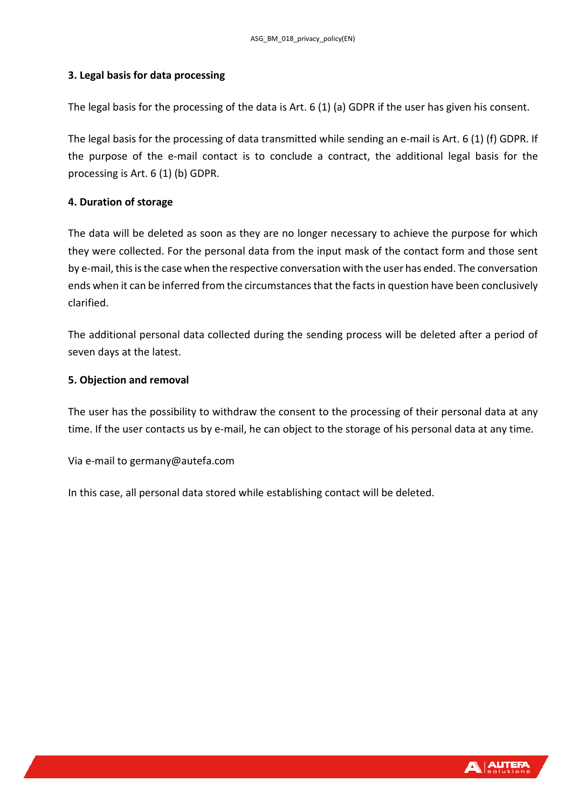#### <span id="page-16-0"></span>**3. Legal basis for data processing**

The legal basis for the processing of the data is Art. 6 (1) (a) GDPR if the user has given his consent.

The legal basis for the processing of data transmitted while sending an e-mail is Art. 6 (1) (f) GDPR. If the purpose of the e-mail contact is to conclude a contract, the additional legal basis for the processing is Art. 6 (1) (b) GDPR.

#### <span id="page-16-1"></span>**4. Duration of storage**

The data will be deleted as soon as they are no longer necessary to achieve the purpose for which they were collected. For the personal data from the input mask of the contact form and those sent by e-mail, this is the case when the respective conversation with the user has ended. The conversation ends when it can be inferred from the circumstances that the facts in question have been conclusively clarified.

The additional personal data collected during the sending process will be deleted after a period of seven days at the latest.

#### <span id="page-16-2"></span>**5. Objection and removal**

The user has the possibility to withdraw the consent to the processing of their personal data at any time. If the user contacts us by e-mail, he can object to the storage of his personal data at any time.

Via e-mail to germany@autefa.com

In this case, all personal data stored while establishing contact will be deleted.

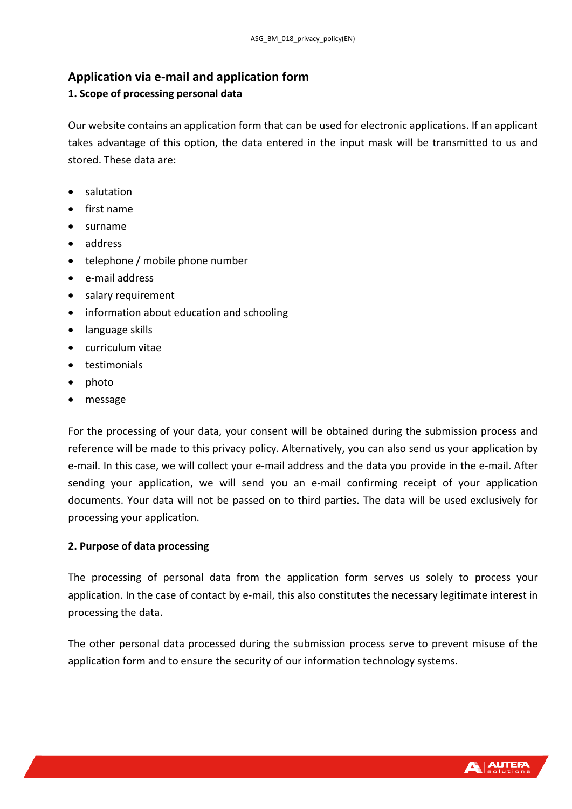# <span id="page-17-0"></span>**Application via e-mail and application form**

# <span id="page-17-1"></span>**1. Scope of processing personal data**

Our website contains an application form that can be used for electronic applications. If an applicant takes advantage of this option, the data entered in the input mask will be transmitted to us and stored. These data are:

- salutation
- first name
- surname
- address
- telephone / mobile phone number
- e-mail address
- salary requirement
- information about education and schooling
- language skills
- curriculum vitae
- testimonials
- photo
- message

For the processing of your data, your consent will be obtained during the submission process and reference will be made to this privacy policy. Alternatively, you can also send us your application by e-mail. In this case, we will collect your e-mail address and the data you provide in the e-mail. After sending your application, we will send you an e-mail confirming receipt of your application documents. Your data will not be passed on to third parties. The data will be used exclusively for processing your application.

## <span id="page-17-2"></span>**2. Purpose of data processing**

The processing of personal data from the application form serves us solely to process your application. In the case of contact by e-mail, this also constitutes the necessary legitimate interest in processing the data.

The other personal data processed during the submission process serve to prevent misuse of the application form and to ensure the security of our information technology systems.

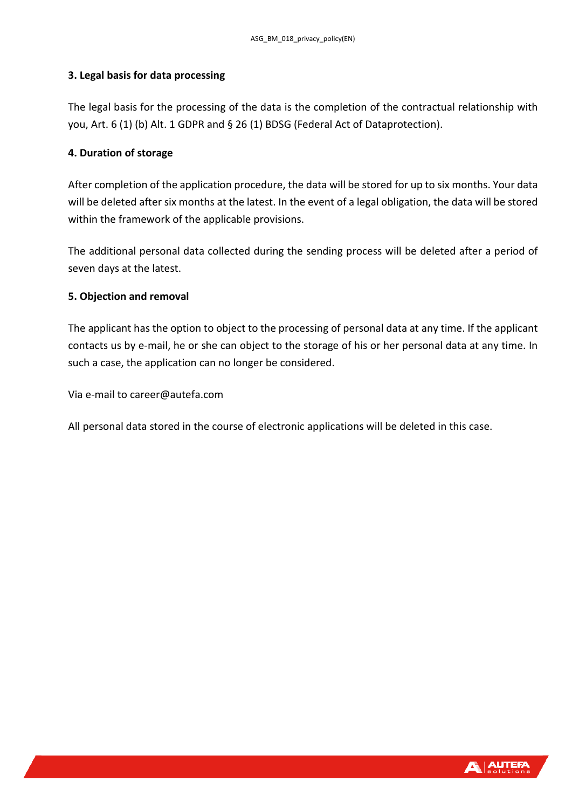#### <span id="page-18-0"></span>**3. Legal basis for data processing**

The legal basis for the processing of the data is the completion of the contractual relationship with you, Art. 6 (1) (b) Alt. 1 GDPR and § 26 (1) BDSG (Federal Act of Dataprotection).

#### <span id="page-18-1"></span>**4. Duration of storage**

After completion of the application procedure, the data will be stored for up to six months. Your data will be deleted after six months at the latest. In the event of a legal obligation, the data will be stored within the framework of the applicable provisions.

The additional personal data collected during the sending process will be deleted after a period of seven days at the latest.

#### <span id="page-18-2"></span>**5. Objection and removal**

The applicant has the option to object to the processing of personal data at any time. If the applicant contacts us by e-mail, he or she can object to the storage of his or her personal data at any time. In such a case, the application can no longer be considered.

Via e-mail to career@autefa.com

All personal data stored in the course of electronic applications will be deleted in this case.

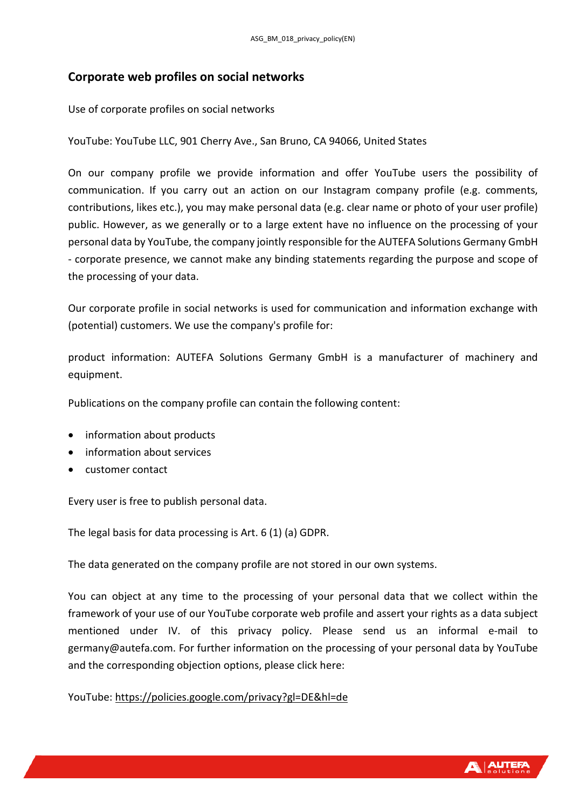# <span id="page-19-0"></span>**Corporate web profiles on social networks**

Use of corporate profiles on social networks

YouTube: YouTube LLC, 901 Cherry Ave., San Bruno, CA 94066, United States

On our company profile we provide information and offer YouTube users the possibility of communication. If you carry out an action on our Instagram company profile (e.g. comments, contributions, likes etc.), you may make personal data (e.g. clear name or photo of your user profile) public. However, as we generally or to a large extent have no influence on the processing of your personal data by YouTube, the company jointly responsible for the AUTEFA Solutions Germany GmbH - corporate presence, we cannot make any binding statements regarding the purpose and scope of the processing of your data.

Our corporate profile in social networks is used for communication and information exchange with (potential) customers. We use the company's profile for:

product information: AUTEFA Solutions Germany GmbH is a manufacturer of machinery and equipment.

Publications on the company profile can contain the following content:

- information about products
- information about services
- customer contact

Every user is free to publish personal data.

The legal basis for data processing is Art. 6 (1) (a) GDPR.

The data generated on the company profile are not stored in our own systems.

You can object at any time to the processing of your personal data that we collect within the framework of your use of our YouTube corporate web profile and assert your rights as a data subject mentioned under IV. of this privacy policy. Please send us an informal e-mail to germany@autefa.com. For further information on the processing of your personal data by YouTube and the corresponding objection options, please click here:

YouTube: <https://policies.google.com/privacy?gl=DE&hl=de>

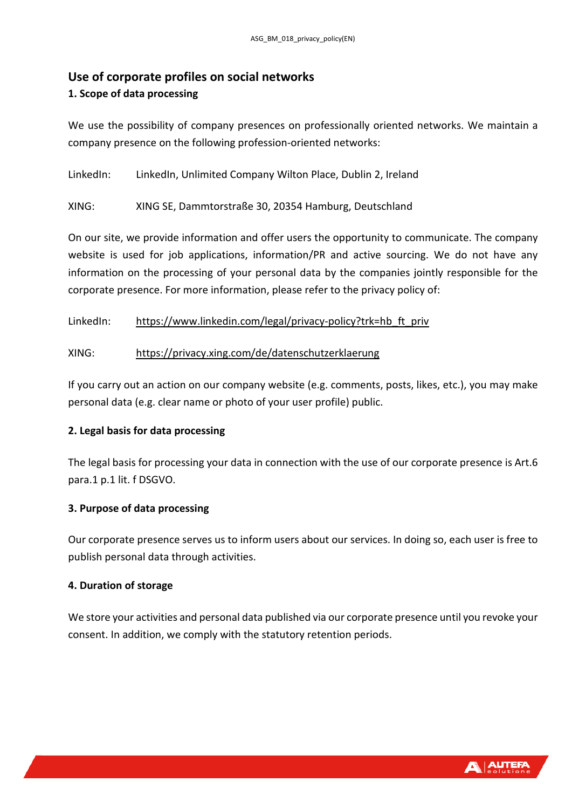# <span id="page-20-0"></span>**Use of corporate profiles on social networks**

## <span id="page-20-1"></span>**1. Scope of data processing**

We use the possibility of company presences on professionally oriented networks. We maintain a company presence on the following profession-oriented networks:

LinkedIn: LinkedIn, Unlimited Company Wilton Place, Dublin 2, Ireland

XING: XING SE, Dammtorstraße 30, 20354 Hamburg, Deutschland

On our site, we provide information and offer users the opportunity to communicate. The company website is used for job applications, information/PR and active sourcing. We do not have any information on the processing of your personal data by the companies jointly responsible for the corporate presence. For more information, please refer to the privacy policy of:

LinkedIn: [https://www.linkedin.com/legal/privacy-policy?trk=hb\\_ft\\_priv](https://www.linkedin.com/legal/privacy-policy?trk=hb_ft_priv)

## XING: <https://privacy.xing.com/de/datenschutzerklaerung>

If you carry out an action on our company website (e.g. comments, posts, likes, etc.), you may make personal data (e.g. clear name or photo of your user profile) public.

## <span id="page-20-2"></span>**2. Legal basis for data processing**

The legal basis for processing your data in connection with the use of our corporate presence is Art.6 para.1 p.1 lit. f DSGVO.

## <span id="page-20-3"></span>**3. Purpose of data processing**

Our corporate presence serves us to inform users about our services. In doing so, each user is free to publish personal data through activities.

## <span id="page-20-4"></span>**4. Duration of storage**

We store your activities and personal data published via our corporate presence until you revoke your consent. In addition, we comply with the statutory retention periods.